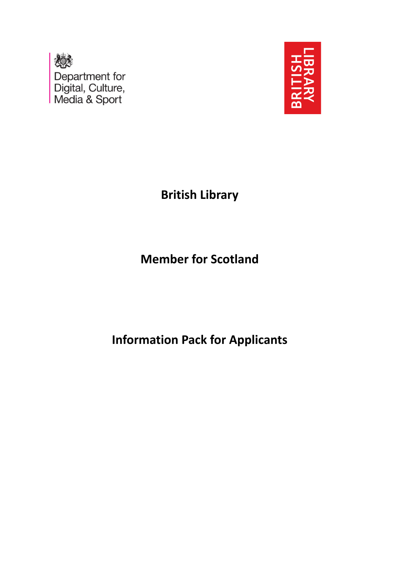



**British Library**

**Member for Scotland**

**Information Pack for Applicants**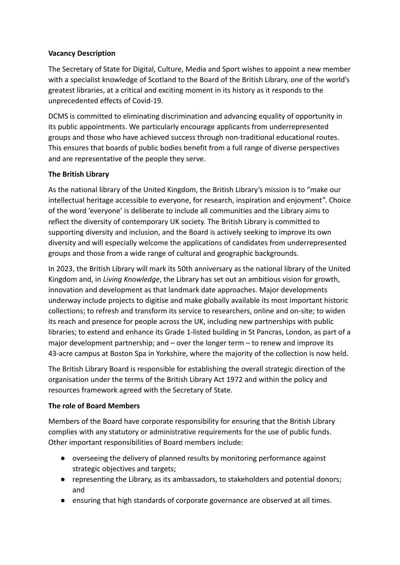# **Vacancy Description**

The Secretary of State for Digital, Culture, Media and Sport wishes to appoint a new member with a specialist knowledge of Scotland to the Board of the British Library, one of the world's greatest libraries, at a critical and exciting moment in its history as it responds to the unprecedented effects of Covid-19.

DCMS is committed to eliminating discrimination and advancing equality of opportunity in its public appointments. We particularly encourage applicants from underrepresented groups and those who have achieved success through non-traditional educational routes. This ensures that boards of public bodies benefit from a full range of diverse perspectives and are representative of the people they serve.

# **The British Library**

As the national library of the United Kingdom, the British Library's mission is to "make our intellectual heritage accessible to everyone, for research, inspiration and enjoyment". Choice of the word 'everyone' is deliberate to include all communities and the Library aims to reflect the diversity of contemporary UK society. The British Library is committed to supporting diversity and inclusion, and the Board is actively seeking to improve its own diversity and will especially welcome the applications of candidates from underrepresented groups and those from a wide range of cultural and geographic backgrounds.

In 2023, the British Library will mark its 50th anniversary as the national library of the United Kingdom and, in *Living Knowledge*, the Library has set out an ambitious vision for growth, innovation and development as that landmark date approaches. Major developments underway include projects to digitise and make globally available its most important historic collections; to refresh and transform its service to researchers, online and on-site; to widen its reach and presence for people across the UK, including new partnerships with public libraries; to extend and enhance its Grade 1-listed building in St Pancras, London, as part of a major development partnership; and – over the longer term – to renew and improve its 43-acre campus at Boston Spa in Yorkshire, where the majority of the collection is now held.

The British Library Board is responsible for establishing the overall strategic direction of the organisation under the terms of the British Library Act 1972 and within the policy and resources framework agreed with the Secretary of State.

#### **The role of Board Members**

Members of the Board have corporate responsibility for ensuring that the British Library complies with any statutory or administrative requirements for the use of public funds. Other important responsibilities of Board members include:

- overseeing the delivery of planned results by monitoring performance against strategic objectives and targets;
- representing the Library, as its ambassadors, to stakeholders and potential donors; and
- ensuring that high standards of corporate governance are observed at all times.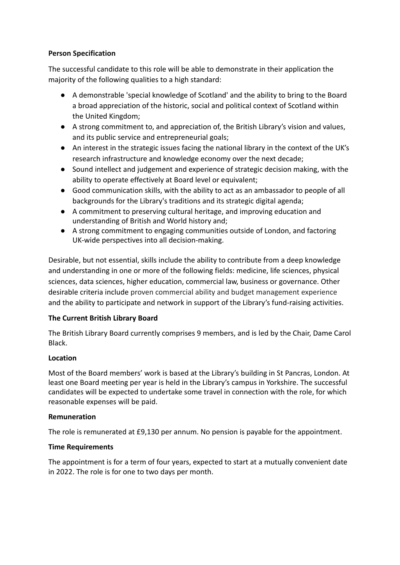# **Person Specification**

The successful candidate to this role will be able to demonstrate in their application the majority of the following qualities to a high standard:

- A demonstrable 'special knowledge of Scotland' and the ability to bring to the Board a broad appreciation of the historic, social and political context of Scotland within the United Kingdom;
- A strong commitment to, and appreciation of, the British Library's vision and values, and its public service and entrepreneurial goals;
- An interest in the strategic issues facing the national library in the context of the UK's research infrastructure and knowledge economy over the next decade;
- Sound intellect and judgement and experience of strategic decision making, with the ability to operate effectively at Board level or equivalent;
- Good communication skills, with the ability to act as an ambassador to people of all backgrounds for the Library's traditions and its strategic digital agenda;
- A commitment to preserving cultural heritage, and improving education and understanding of British and World history and;
- A strong commitment to engaging communities outside of London, and factoring UK-wide perspectives into all decision-making.

Desirable, but not essential, skills include the ability to contribute from a deep knowledge and understanding in one or more of the following fields: medicine, life sciences, physical sciences, data sciences, higher education, commercial law, business or governance. Other desirable criteria include proven commercial ability and budget management experience and the ability to participate and network in support of the Library's fund-raising activities.

# **The Current British Library Board**

The British Library Board currently comprises 9 members, and is led by the Chair, Dame Carol Black.

# **Location**

Most of the Board members' work is based at the Library's building in St Pancras, London. At least one Board meeting per year is held in the Library's campus in Yorkshire. The successful candidates will be expected to undertake some travel in connection with the role, for which reasonable expenses will be paid.

#### **Remuneration**

The role is remunerated at £9,130 per annum. No pension is payable for the appointment.

# **Time Requirements**

The appointment is for a term of four years, expected to start at a mutually convenient date in 2022. The role is for one to two days per month.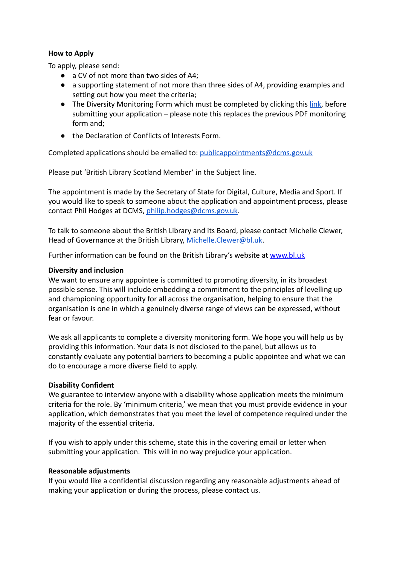## **How to Apply**

To apply, please send:

- a CV of not more than two sides of A4;
- a supporting statement of not more than three sides of A4, providing examples and setting out how you meet the criteria;
- The Diversity Monitoring Form which must be completed by clicking this [link,](https://forms.gle/JqkFSkvoZWCwSBLbA) before submitting your application – please note this replaces the previous PDF monitoring form and;
- the Declaration of Conflicts of Interests Form.

Completed applications should be emailed to: [publicappointments@dcms.gov.uk](mailto:publicappointments@culture.gov.uk)

Please put 'British Library Scotland Member' in the Subject line.

The appointment is made by the Secretary of State for Digital, Culture, Media and Sport. If you would like to speak to someone about the application and appointment process, please contact Phil Hodges at DCMS, [philip.hodges@dcms.gov.uk](mailto:philip.hodges@dcms.gov.uk).

To talk to someone about the British Library and its Board, please contact Michelle Clewer, Head of Governance at the British Library, [Michelle.Clewer@bl.uk.](mailto:Michelle.Clewer@bl.uk)

Further information can be found on the British Library's website at [www.bl.uk](http://www.bl.uk)

#### **Diversity and inclusion**

We want to ensure any appointee is committed to promoting diversity, in its broadest possible sense. This will include embedding a commitment to the principles of levelling up and championing opportunity for all across the organisation, helping to ensure that the organisation is one in which a genuinely diverse range of views can be expressed, without fear or favour.

We ask all applicants to complete a diversity monitoring form. We hope you will help us by providing this information. Your data is not disclosed to the panel, but allows us to constantly evaluate any potential barriers to becoming a public appointee and what we can do to encourage a more diverse field to apply.

#### **Disability Confident**

We guarantee to interview anyone with a disability whose application meets the minimum criteria for the role. By 'minimum criteria,' we mean that you must provide evidence in your application, which demonstrates that you meet the level of competence required under the majority of the essential criteria.

If you wish to apply under this scheme, state this in the covering email or letter when submitting your application. This will in no way prejudice your application.

#### **Reasonable adjustments**

If you would like a confidential discussion regarding any reasonable adjustments ahead of making your application or during the process, please contact us.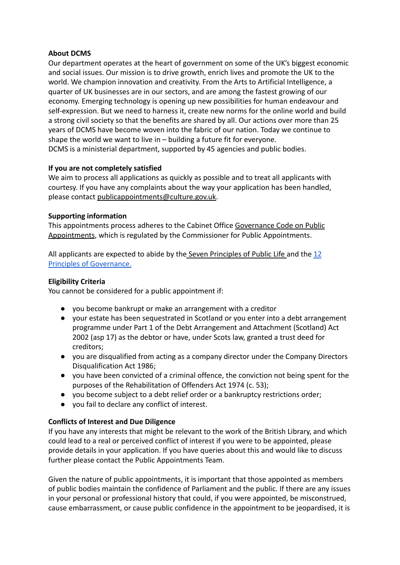## **About DCMS**

Our department operates at the heart of government on some of the UK's biggest economic and social issues. Our mission is to drive growth, enrich lives and promote the UK to the world. We champion innovation and creativity. From the Arts to Artificial Intelligence, a quarter of UK businesses are in our sectors, and are among the fastest growing of our economy. Emerging technology is opening up new possibilities for human endeavour and self-expression. But we need to harness it, create new norms for the online world and build a strong civil society so that the benefits are shared by all. Our actions over more than 25 years of DCMS have become woven into the fabric of our nation. Today we continue to shape the world we want to live in – building a future fit for everyone. DCMS is a ministerial department, supported by 45 agencies and public bodies.

### **If you are not completely satisfied**

We aim to process all applications as quickly as possible and to treat all applicants with courtesy. If you have any complaints about the way your application has been handled, please contact [publicappointments@culture.gov.uk.](mailto:publicappointments@culture.gov.uk)

### **Supporting information**

This appointments process adheres to the Cabinet Office [Governance Code on Public](https://assets.publishing.service.gov.uk/government/uploads/system/uploads/attachment_data/file/578498/governance_code_on_public_appointments_16_12_2016.pdf) [Appointments](https://assets.publishing.service.gov.uk/government/uploads/system/uploads/attachment_data/file/578498/governance_code_on_public_appointments_16_12_2016.pdf), which is regulated by the Commissioner for Public Appointments.

All applicants are expected to abide by the Seven Principles of Public Life and the [12](https://www.gov.uk/government/publications/public-bodies-non-executive-director-principles/12-principles-of-governance-for-all-public-body-neds) [Principles of Governance.](https://www.gov.uk/government/publications/public-bodies-non-executive-director-principles/12-principles-of-governance-for-all-public-body-neds)

### **Eligibility Criteria**

You cannot be considered for a public appointment if:

- you become bankrupt or make an arrangement with a creditor
- your estate has been sequestrated in Scotland or you enter into a debt arrangement programme under Part 1 of the Debt Arrangement and Attachment (Scotland) Act 2002 (asp 17) as the debtor or have, under Scots law, granted a trust deed for creditors;
- you are disqualified from acting as a company director under the Company Directors Disqualification Act 1986;
- you have been convicted of a criminal offence, the conviction not being spent for the purposes of the Rehabilitation of Offenders Act 1974 (c. 53);
- you become subject to a debt relief order or a bankruptcy restrictions order;
- you fail to declare any conflict of interest.

# **Conflicts of Interest and Due Diligence**

If you have any interests that might be relevant to the work of the British Library, and which could lead to a real or perceived conflict of interest if you were to be appointed, please provide details in your application. If you have queries about this and would like to discuss further please contact the Public Appointments Team.

Given the nature of public appointments, it is important that those appointed as members of public bodies maintain the confidence of Parliament and the public. If there are any issues in your personal or professional history that could, if you were appointed, be misconstrued, cause embarrassment, or cause public confidence in the appointment to be jeopardised, it is